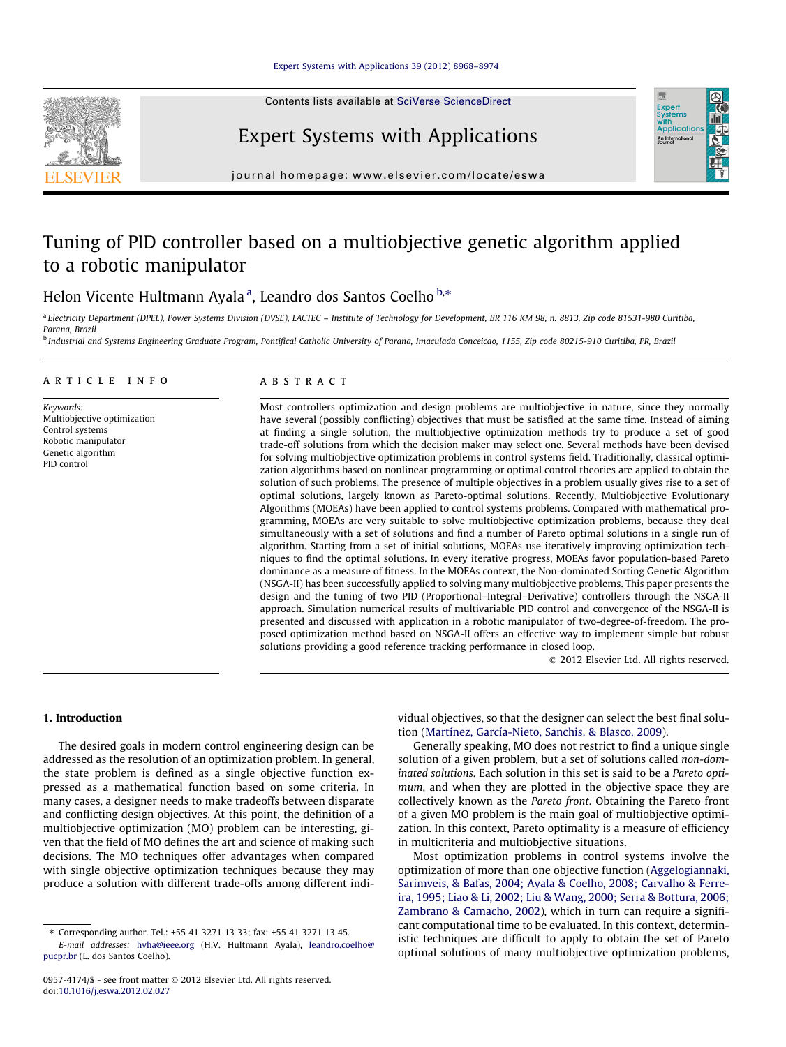Contents lists available at [SciVerse ScienceDirect](http://www.sciencedirect.com/science/journal/09574174)



# Expert Systems with Applications



journal homepage: [www.elsevier.com/locate/eswa](http://www.elsevier.com/locate/eswa)

## Tuning of PID controller based on a multiobjective genetic algorithm applied to a robotic manipulator

### Helon Vicente Hultmann Ayalaª, Leandro dos Santos Coelho<sup>b,</sup>\*

<sup>a</sup> Electricity Department (DPEL), Power Systems Division (DVSE), LACTEC – Institute of Technology for Development, BR 116 KM 98, n. 8813, Zip code 81531-980 Curitiba, Parana, Brazil

<sup>b</sup> Industrial and Systems Engineering Graduate Program, Pontifical Catholic University of Parana, Imaculada Conceicao, 1155, Zip code 80215-910 Curitiba, PR, Brazil

#### article info

Keywords: Multiobjective optimization Control systems Robotic manipulator Genetic algorithm PID control

#### ABSTRACT

Most controllers optimization and design problems are multiobjective in nature, since they normally have several (possibly conflicting) objectives that must be satisfied at the same time. Instead of aiming at finding a single solution, the multiobjective optimization methods try to produce a set of good trade-off solutions from which the decision maker may select one. Several methods have been devised for solving multiobjective optimization problems in control systems field. Traditionally, classical optimization algorithms based on nonlinear programming or optimal control theories are applied to obtain the solution of such problems. The presence of multiple objectives in a problem usually gives rise to a set of optimal solutions, largely known as Pareto-optimal solutions. Recently, Multiobjective Evolutionary Algorithms (MOEAs) have been applied to control systems problems. Compared with mathematical programming, MOEAs are very suitable to solve multiobjective optimization problems, because they deal simultaneously with a set of solutions and find a number of Pareto optimal solutions in a single run of algorithm. Starting from a set of initial solutions, MOEAs use iteratively improving optimization techniques to find the optimal solutions. In every iterative progress, MOEAs favor population-based Pareto dominance as a measure of fitness. In the MOEAs context, the Non-dominated Sorting Genetic Algorithm (NSGA-II) has been successfully applied to solving many multiobjective problems. This paper presents the design and the tuning of two PID (Proportional–Integral–Derivative) controllers through the NSGA-II approach. Simulation numerical results of multivariable PID control and convergence of the NSGA-II is presented and discussed with application in a robotic manipulator of two-degree-of-freedom. The proposed optimization method based on NSGA-II offers an effective way to implement simple but robust solutions providing a good reference tracking performance in closed loop.

- 2012 Elsevier Ltd. All rights reserved.

#### 1. Introduction

The desired goals in modern control engineering design can be addressed as the resolution of an optimization problem. In general, the state problem is defined as a single objective function expressed as a mathematical function based on some criteria. In many cases, a designer needs to make tradeoffs between disparate and conflicting design objectives. At this point, the definition of a multiobjective optimization (MO) problem can be interesting, given that the field of MO defines the art and science of making such decisions. The MO techniques offer advantages when compared with single objective optimization techniques because they may produce a solution with different trade-offs among different individual objectives, so that the designer can select the best final solution [\(Martínez, García-Nieto, Sanchis, & Blasco, 2009\)](#page--1-0).

Generally speaking, MO does not restrict to find a unique single solution of a given problem, but a set of solutions called non-dominated solutions. Each solution in this set is said to be a Pareto optimum, and when they are plotted in the objective space they are collectively known as the Pareto front. Obtaining the Pareto front of a given MO problem is the main goal of multiobjective optimization. In this context, Pareto optimality is a measure of efficiency in multicriteria and multiobjective situations.

Most optimization problems in control systems involve the optimization of more than one objective function [\(Aggelogiannaki,](#page--1-0) [Sarimveis, & Bafas, 2004; Ayala & Coelho, 2008; Carvalho & Ferre](#page--1-0)[ira, 1995; Liao & Li, 2002; Liu & Wang, 2000; Serra & Bottura, 2006;](#page--1-0) [Zambrano & Camacho, 2002\)](#page--1-0), which in turn can require a significant computational time to be evaluated. In this context, deterministic techniques are difficult to apply to obtain the set of Pareto optimal solutions of many multiobjective optimization problems,

<sup>⇑</sup> Corresponding author. Tel.: +55 41 3271 13 33; fax: +55 41 3271 13 45. E-mail addresses: [hvha@ieee.org](mailto:hvhva@ieee.org) (H.V. Hultmann Ayala), [leandro.coelho@](mailto:leandro.coelho@pucpr.br) [pucpr.br](mailto:leandro.coelho@pucpr.br) (L. dos Santos Coelho).

<sup>0957-4174/\$ -</sup> see front matter © 2012 Elsevier Ltd. All rights reserved. doi:[10.1016/j.eswa.2012.02.027](http://dx.doi.org/10.1016/j.eswa.2012.02.027)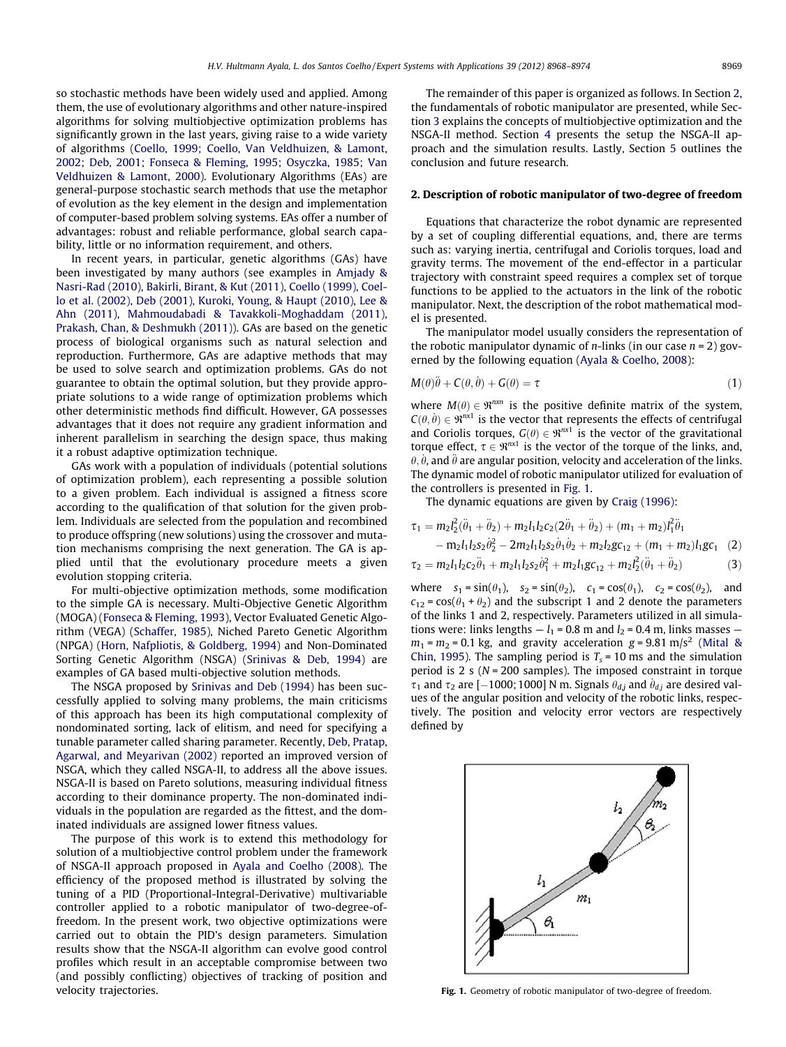so stochastic methods have been widely used and applied. Among them, the use of evolutionary algorithms and other nature-inspired algorithms for solving multiobjective optimization problems has significantly grown in the last years, giving raise to a wide variety of algorithms ([Coello, 1999; Coello, Van Veldhuizen, & Lamont,](#page--1-0) [2002; Deb, 2001; Fonseca & Fleming, 1995; Osyczka, 1985; Van](#page--1-0) [Veldhuizen & Lamont, 2000\)](#page--1-0). Evolutionary Algorithms (EAs) are general-purpose stochastic search methods that use the metaphor of evolution as the key element in the design and implementation of computer-based problem solving systems. EAs offer a number of advantages: robust and reliable performance, global search capability, little or no information requirement, and others.

In recent years, in particular, genetic algorithms (GAs) have been investigated by many authors (see examples in [Amjady &](#page--1-0) [Nasri-Rad \(2010\), Bakirli, Birant, & Kut \(2011\), Coello \(1999\), Coel](#page--1-0)[lo et al. \(2002\), Deb \(2001\), Kuroki, Young, & Haupt \(2010\), Lee &](#page--1-0) [Ahn \(2011\), Mahmoudabadi & Tavakkoli-Moghaddam \(2011\),](#page--1-0) [Prakash, Chan, & Deshmukh \(2011\)](#page--1-0)). GAs are based on the genetic process of biological organisms such as natural selection and reproduction. Furthermore, GAs are adaptive methods that may be used to solve search and optimization problems. GAs do not guarantee to obtain the optimal solution, but they provide appropriate solutions to a wide range of optimization problems which other deterministic methods find difficult. However, GA possesses advantages that it does not require any gradient information and inherent parallelism in searching the design space, thus making it a robust adaptive optimization technique.

GAs work with a population of individuals (potential solutions of optimization problem), each representing a possible solution to a given problem. Each individual is assigned a fitness score according to the qualification of that solution for the given problem. Individuals are selected from the population and recombined to produce offspring (new solutions) using the crossover and mutation mechanisms comprising the next generation. The GA is applied until that the evolutionary procedure meets a given evolution stopping criteria.

For multi-objective optimization methods, some modification to the simple GA is necessary. Multi-Objective Genetic Algorithm (MOGA) [\(Fonseca & Fleming, 1993\)](#page--1-0), Vector Evaluated Genetic Algorithm (VEGA) ([Schaffer, 1985\)](#page--1-0), Niched Pareto Genetic Algorithm (NPGA) ([Horn, Nafpliotis, & Goldberg, 1994\)](#page--1-0) and Non-Dominated Sorting Genetic Algorithm (NSGA) [\(Srinivas & Deb, 1994\)](#page--1-0) are examples of GA based multi-objective solution methods.

The NSGA proposed by [Srinivas and Deb \(1994\)](#page--1-0) has been successfully applied to solving many problems, the main criticisms of this approach has been its high computational complexity of nondominated sorting, lack of elitism, and need for specifying a tunable parameter called sharing parameter. Recently, [Deb, Pratap,](#page--1-0) [Agarwal, and Meyarivan \(2002\)](#page--1-0) reported an improved version of NSGA, which they called NSGA-II, to address all the above issues. NSGA-II is based on Pareto solutions, measuring individual fitness according to their dominance property. The non-dominated individuals in the population are regarded as the fittest, and the dominated individuals are assigned lower fitness values.

The purpose of this work is to extend this methodology for solution of a multiobjective control problem under the framework of NSGA-II approach proposed in [Ayala and Coelho \(2008\).](#page--1-0) The efficiency of the proposed method is illustrated by solving the tuning of a PID (Proportional-Integral-Derivative) multivariable controller applied to a robotic manipulator of two-degree-offreedom. In the present work, two objective optimizations were carried out to obtain the PID's design parameters. Simulation results show that the NSGA-II algorithm can evolve good control profiles which result in an acceptable compromise between two (and possibly conflicting) objectives of tracking of position and velocity trajectories.

The remainder of this paper is organized as follows. In Section 2, the fundamentals of robotic manipulator are presented, while Section [3](#page--1-0) explains the concepts of multiobjective optimization and the NSGA-II method. Section [4](#page--1-0) presents the setup the NSGA-II approach and the simulation results. Lastly, Section [5](#page--1-0) outlines the conclusion and future research.

#### 2. Description of robotic manipulator of two-degree of freedom

Equations that characterize the robot dynamic are represented by a set of coupling differential equations, and, there are terms such as: varying inertia, centrifugal and Coriolis torques, load and gravity terms. The movement of the end-effector in a particular trajectory with constraint speed requires a complex set of torque functions to be applied to the actuators in the link of the robotic manipulator. Next, the description of the robot mathematical model is presented.

The manipulator model usually considers the representation of the robotic manipulator dynamic of *n*-links (in our case  $n = 2$ ) governed by the following equation ([Ayala & Coelho, 2008\)](#page--1-0):

$$
M(\theta)\ddot{\theta} + C(\theta,\dot{\theta}) + G(\theta) = \tau \tag{1}
$$

where  $M(\theta) \in \mathbb{R}^{n \times n}$  is the positive definite matrix of the system,  $C(\theta, \dot{\theta}) \in \mathfrak{R}^{n \times 1}$  is the vector that represents the effects of centrifugal and Coriolis torques,  $G(\theta) \in \mathbb{R}^{n \times 1}$  is the vector of the gravitational torque effect,  $\tau \in \mathbb{R}^{n \times 1}$  is the vector of the torque of the links, and,  $\theta$ ,  $\dot{\theta}$ , and  $\ddot{\theta}$  are angular position, velocity and acceleration of the links. The dynamic model of robotic manipulator utilized for evaluation of the controllers is presented in Fig. 1.

The dynamic equations are given by [Craig \(1996\)](#page--1-0):

$$
\tau_1 = m_2 l_2^2 (\ddot{\theta}_1 + \ddot{\theta}_2) + m_2 l_1 l_2 c_2 (2 \ddot{\theta}_1 + \ddot{\theta}_2) + (m_1 + m_2) l_1^2 \ddot{\theta}_1 - m_2 l_1 l_2 s_2 \dot{\theta}_2^2 - 2 m_2 l_1 l_2 s_2 \dot{\theta}_1 \dot{\theta}_2 + m_2 l_2 g c_{12} + (m_1 + m_2) l_1 g c_1
$$
 (2)

$$
\tau_2 = m_2 l_1 l_2 c_2 \ddot{\theta}_1 + m_2 l_1 l_2 s_2 \dot{\theta}_1^2 + m_2 l_1 g c_{12} + m_2 l_2^2 (\ddot{\theta}_1 + \ddot{\theta}_2)
$$
(3)

where  $s_1 = \sin(\theta_1)$ ,  $s_2 = \sin(\theta_2)$ ,  $c_1 = \cos(\theta_1)$ ,  $c_2 = \cos(\theta_2)$ , and  $c_{12}$  = cos( $\theta_1$  +  $\theta_2$ ) and the subscript 1 and 2 denote the parameters of the links 1 and 2, respectively. Parameters utilized in all simulations were: links lengths  $- l_1 = 0.8$  m and  $l_2 = 0.4$  m, links masses  $$  $m_1 = m_2 = 0.1$  kg, and gravity acceleration g = 9.81 m/s<sup>2</sup> ([Mital &](#page--1-0) [Chin, 1995](#page--1-0)). The sampling period is  $T_s = 10$  ms and the simulation period is 2 s ( $N = 200$  samples). The imposed constraint in torque  $\tau_1$  and  $\tau_2$  are [-1000; 1000] N m. Signals  $\theta_{d,j}$  and  $\dot{\theta}_{d,j}$  are desired values of the angular position and velocity of the robotic links, respectively. The position and velocity error vectors are respectively defined by



Fig. 1. Geometry of robotic manipulator of two-degree of freedom.